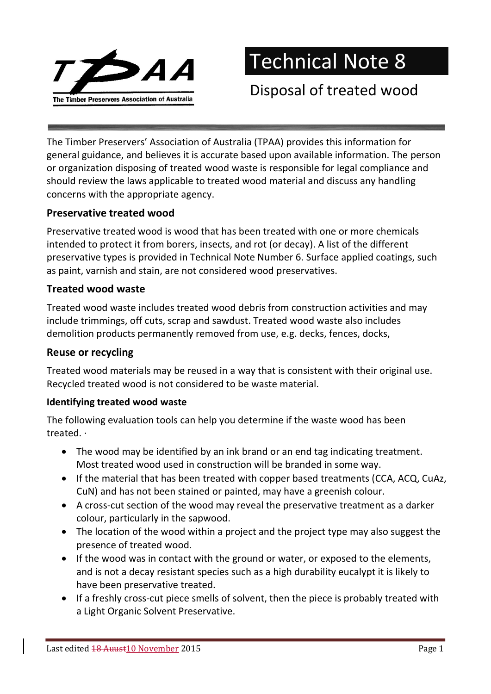

Technical Note 8

Disposal of treated wood

The Timber Preservers' Association of Australia (TPAA) provides this information for general guidance, and believes it is accurate based upon available information. The person or organization disposing of treated wood waste is responsible for legal compliance and should review the laws applicable to treated wood material and discuss any handling concerns with the appropriate agency.

#### Preservative treated wood

Preservative treated wood is wood that has been treated with one or more chemicals intended to protect it from borers, insects, and rot (or decay). A list of the different preservative types is provided in Technical Note Number 6. Surface applied coatings, such as paint, varnish and stain, are not considered wood preservatives.

## Treated wood waste

Treated wood waste includes treated wood debris from construction activities and may include trimmings, off cuts, scrap and sawdust. Treated wood waste also includes demolition products permanently removed from use, e.g. decks, fences, docks,

### Reuse or recycling

Treated wood materials may be reused in a way that is consistent with their original use. Recycled treated wood is not considered to be waste material.

#### Identifying treated wood waste

The following evaluation tools can help you determine if the waste wood has been treated. ·

- The wood may be identified by an ink brand or an end tag indicating treatment. Most treated wood used in construction will be branded in some way.
- If the material that has been treated with copper based treatments (CCA, ACQ, CuAz, CuN) and has not been stained or painted, may have a greenish colour.
- A cross-cut section of the wood may reveal the preservative treatment as a darker colour, particularly in the sapwood.
- The location of the wood within a project and the project type may also suggest the presence of treated wood.
- If the wood was in contact with the ground or water, or exposed to the elements, and is not a decay resistant species such as a high durability eucalypt it is likely to have been preservative treated.
- If a freshly cross-cut piece smells of solvent, then the piece is probably treated with a Light Organic Solvent Preservative.